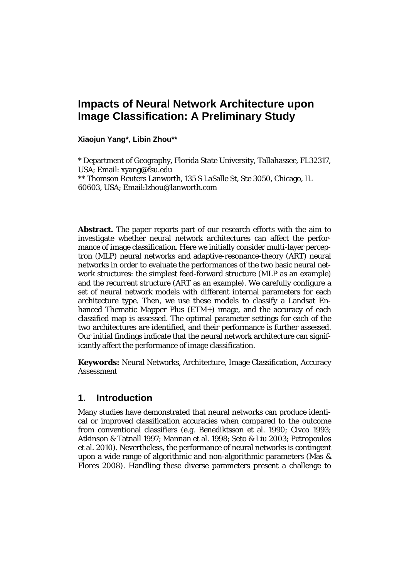# **Impacts of Neural Network Architecture upon Image Classification: A Preliminary Study**

**Xiaojun Yang\*, Libin Zhou\*\***

\* Department of Geography, Florida State University, Tallahassee, FL32317, USA; Email: xyang@fsu.edu \*\* Thomson Reuters Lanworth, 135 S LaSalle St, Ste 3050, Chicago, IL

60603, USA; Email:lzhou@lanworth.com

**Abstract.** The paper reports part of our research efforts with the aim to investigate whether neural network architectures can affect the performance of image classification. Here we initially consider multi-layer perceptron (MLP) neural networks and adaptive-resonance-theory (ART) neural networks in order to evaluate the performances of the two basic neural network structures: the simplest feed-forward structure (MLP as an example) and the recurrent structure (ART as an example). We carefully configure a set of neural network models with different internal parameters for each architecture type. Then, we use these models to classify a Landsat Enhanced Thematic Mapper Plus (ETM+) image, and the accuracy of each classified map is assessed. The optimal parameter settings for each of the two architectures are identified, and their performance is further assessed. Our initial findings indicate that the neural network architecture can significantly affect the performance of image classification.

**Keywords:** Neural Networks, Architecture, Image Classification, Accuracy Assessment

## **1. Introduction**

Many studies have demonstrated that neural networks can produce identical or improved classification accuracies when compared to the outcome from conventional classifiers (e.g. Benediktsson et al. 1990; Civco 1993; Atkinson & Tatnall 1997; Mannan et al. 1998; Seto & Liu 2003; Petropoulos et al. 2010). Nevertheless, the performance of neural networks is contingent upon a wide range of algorithmic and non-algorithmic parameters (Mas & Flores 2008). Handling these diverse parameters present a challenge to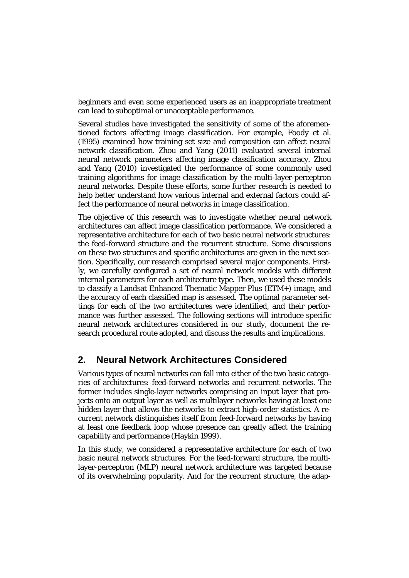beginners and even some experienced users as an inappropriate treatment can lead to suboptimal or unacceptable performance.

Several studies have investigated the sensitivity of some of the aforementioned factors affecting image classification. For example, Foody et al. (1995) examined how training set size and composition can affect neural network classification. Zhou and Yang (2011) evaluated several internal neural network parameters affecting image classification accuracy. Zhou and Yang (2010) investigated the performance of some commonly used training algorithms for image classification by the multi-layer-perceptron neural networks. Despite these efforts, some further research is needed to help better understand how various internal and external factors could affect the performance of neural networks in image classification.

The objective of this research was to investigate whether neural network architectures can affect image classification performance. We considered a representative architecture for each of two basic neural network structures: the feed-forward structure and the recurrent structure. Some discussions on these two structures and specific architectures are given in the next section. Specifically, our research comprised several major components. Firstly, we carefully configured a set of neural network models with different internal parameters for each architecture type. Then, we used these models to classify a Landsat Enhanced Thematic Mapper Plus (ETM+) image, and the accuracy of each classified map is assessed. The optimal parameter settings for each of the two architectures were identified, and their performance was further assessed. The following sections will introduce specific neural network architectures considered in our study, document the research procedural route adopted, and discuss the results and implications.

## **2. Neural Network Architectures Considered**

Various types of neural networks can fall into either of the two basic categories of architectures: feed-forward networks and recurrent networks. The former includes single-layer networks comprising an input layer that projects onto an output layer as well as multilayer networks having at least one hidden layer that allows the networks to extract high-order statistics. A recurrent network distinguishes itself from feed-forward networks by having at least one feedback loop whose presence can greatly affect the training capability and performance (Haykin 1999).

In this study, we considered a representative architecture for each of two basic neural network structures. For the feed-forward structure, the multilayer-perceptron (MLP) neural network architecture was targeted because of its overwhelming popularity. And for the recurrent structure, the adap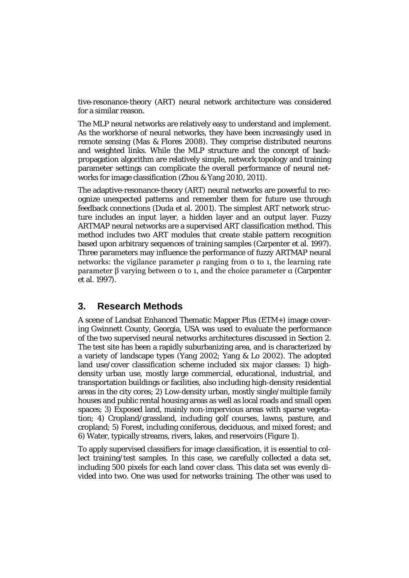tive-resonance-theory (ART) neural network architecture was considered for a similar reason.

The MLP neural networks are relatively easy to understand and implement. As the workhorse of neural networks, they have been increasingly used in remote sensing (Mas & Flores 2008). They comprise distributed neurons and weighted links. While the MLP structure and the concept of backpropagation algorithm are relatively simple, network topology and training parameter settings can complicate the overall performance of neural networks for image classification (Zhou & Yang 2010, 2011).

The adaptive-resonance-theory (ART) neural networks are powerful to recognize unexpected patterns and remember them for future use through feedback connections (Duda et al. 2001). The simplest ART network structure includes an input layer, a hidden layer and an output layer. Fuzzy ARTMAP neural networks are a supervised ART classification method. This method includes two ART modules that create stable pattern recognition based upon arbitrary sequences of training samples (Carpenter et al. 1997). Three parameters may influence the performance of fuzzy ARTMAP neural networks: the vigilance parameter ρ ranging from 0 to 1, the learning rate parameter β varying between 0 to 1, and the choice parameter α (Carpenter et al. 1997).

## **3. Research Methods**

A scene of Landsat Enhanced Thematic Mapper Plus (ETM+) image covering Gwinnett County, Georgia, USA was used to evaluate the performance of the two supervised neural networks architectures discussed in Section 2. The test site has been a rapidly suburbanizing area, and is characterized by a variety of landscape types (Yang 2002; Yang & Lo 2002). The adopted land use/cover classification scheme included six major classes: 1) highdensity urban use, mostly large commercial, educational, industrial, and transportation buildings or facilities, also including high-density residential areas in the city cores; 2) Low-density urban, mostly single/multiple family houses and public rental housing areas as well as local roads and small open spaces; 3) Exposed land, mainly non-impervious areas with sparse vegetation; 4) Cropland/grassland, including golf courses, lawns, pasture, and cropland; 5) Forest, including coniferous, deciduous, and mixed forest; and 6) Water, typically streams, rivers, lakes, and reservoirs (Figure 1).

To apply supervised classifiers for image classification, it is essential to collect training/test samples. In this case, we carefully collected a data set, including 500 pixels for each land cover class. This data set was evenly divided into two. One was used for networks training. The other was used to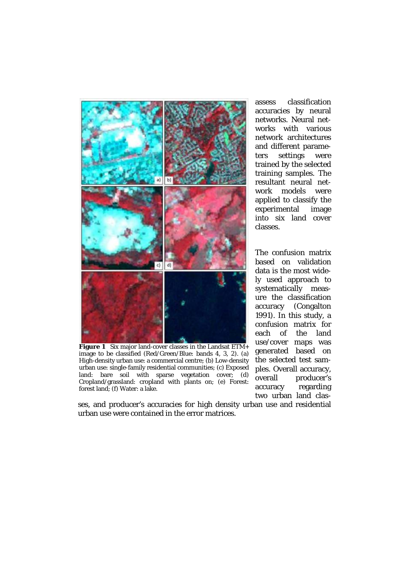

**Figure 1** Six major land-cover classes in the Landsat ETM+ image to be classified (Red/Green/Blue: bands 4, 3, 2). (a) High-density urban use: a commercial centre; (b) Low-density urban use: single-family residential communities; (c) Exposed land: bare soil with sparse vegetation cover; (d) Cropland/grassland: cropland with plants on; (e) Forest: forest land; (f) Water: a lake.

the selected test samples. Overall accuracy, overall producer's

ses, and producer's accuracies for high density urban use and residential urban use were contained in the error matrices.

assess classification accuracies by neural networks. Neural networks with various network architectures and different parameters settings were trained by the selected training samples. The resultant neural network models were applied to classify the experimental image into six land cover classes.

The confusion matrix based on validation data is the most widely used approach to systematically measure the classification accuracy (Congalton 1991). In this study, a confusion matrix for each of the land use/cover maps was generated based on accuracy regarding two urban land clas-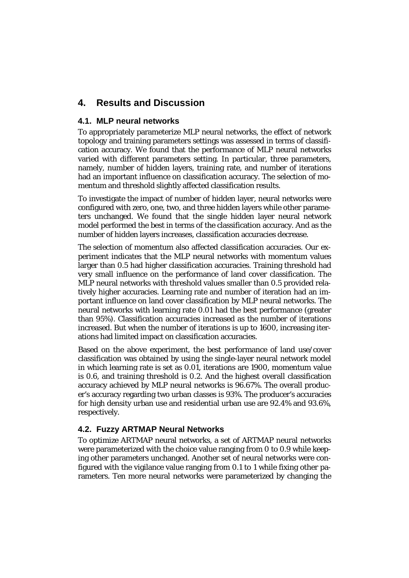## **4. Results and Discussion**

#### **4.1. MLP neural networks**

To appropriately parameterize MLP neural networks, the effect of network topology and training parameters settings was assessed in terms of classification accuracy. We found that the performance of MLP neural networks varied with different parameters setting. In particular, three parameters, namely, number of hidden layers, training rate, and number of iterations had an important influence on classification accuracy. The selection of momentum and threshold slightly affected classification results.

To investigate the impact of number of hidden layer, neural networks were configured with zero, one, two, and three hidden layers while other parameters unchanged. We found that the single hidden layer neural network model performed the best in terms of the classification accuracy. And as the number of hidden layers increases, classification accuracies decrease.

The selection of momentum also affected classification accuracies. Our experiment indicates that the MLP neural networks with momentum values larger than 0.5 had higher classification accuracies. Training threshold had very small influence on the performance of land cover classification. The MLP neural networks with threshold values smaller than 0.5 provided relatively higher accuracies. Learning rate and number of iteration had an important influence on land cover classification by MLP neural networks. The neural networks with learning rate 0.01 had the best performance (greater than 95%). Classification accuracies increased as the number of iterations increased. But when the number of iterations is up to 1600, increasing iterations had limited impact on classification accuracies.

Based on the above experiment, the best performance of land use/cover classification was obtained by using the single-layer neural network model in which learning rate is set as 0.01, iterations are 1900, momentum value is 0.6, and training threshold is 0.2. And the highest overall classification accuracy achieved by MLP neural networks is 96.67%. The overall producer's accuracy regarding two urban classes is 93%. The producer's accuracies for high density urban use and residential urban use are 92.4% and 93.6%, respectively.

## **4.2. Fuzzy ARTMAP Neural Networks**

To optimize ARTMAP neural networks, a set of ARTMAP neural networks were parameterized with the choice value ranging from 0 to 0.9 while keeping other parameters unchanged. Another set of neural networks were configured with the vigilance value ranging from 0.1 to 1 while fixing other parameters. Ten more neural networks were parameterized by changing the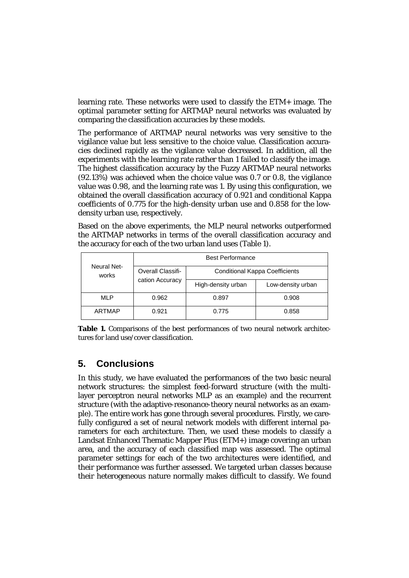learning rate. These networks were used to classify the ETM+ image. The optimal parameter setting for ARTMAP neural networks was evaluated by comparing the classification accuracies by these models.

The performance of ARTMAP neural networks was very sensitive to the vigilance value but less sensitive to the choice value. Classification accuracies declined rapidly as the vigilance value decreased. In addition, all the experiments with the learning rate rather than 1 failed to classify the image. The highest classification accuracy by the Fuzzy ARTMAP neural networks (92.13%) was achieved when the choice value was 0.7 or 0.8, the vigilance value was 0.98, and the learning rate was 1. By using this configuration, we obtained the overall classification accuracy of 0.921 and conditional Kappa coefficients of 0.775 for the high-density urban use and 0.858 for the lowdensity urban use, respectively.

Based on the above experiments, the MLP neural networks outperformed the ARTMAP networks in terms of the overall classification accuracy and the accuracy for each of the two urban land uses (Table 1).

| Neural Net-<br>works | <b>Best Performance</b>              |                                       |                   |
|----------------------|--------------------------------------|---------------------------------------|-------------------|
|                      | Overall Classifi-<br>cation Accuracy | <b>Conditional Kappa Coefficients</b> |                   |
|                      |                                      | High-density urban                    | Low-density urban |
| <b>MLP</b>           | 0.962                                | 0.897                                 | 0.908             |
| ARTMAP               | 0.921                                | 0.775                                 | 0.858             |

**Table 1.** Comparisons of the best performances of two neural network architectures for land use/cover classification.

## **5. Conclusions**

In this study, we have evaluated the performances of the two basic neural network structures: the simplest feed-forward structure (with the multilayer perceptron neural networks MLP as an example) and the recurrent structure (with the adaptive-resonance-theory neural networks as an example). The entire work has gone through several procedures. Firstly, we carefully configured a set of neural network models with different internal parameters for each architecture. Then, we used these models to classify a Landsat Enhanced Thematic Mapper Plus (ETM+) image covering an urban area, and the accuracy of each classified map was assessed. The optimal parameter settings for each of the two architectures were identified, and their performance was further assessed. We targeted urban classes because their heterogeneous nature normally makes difficult to classify. We found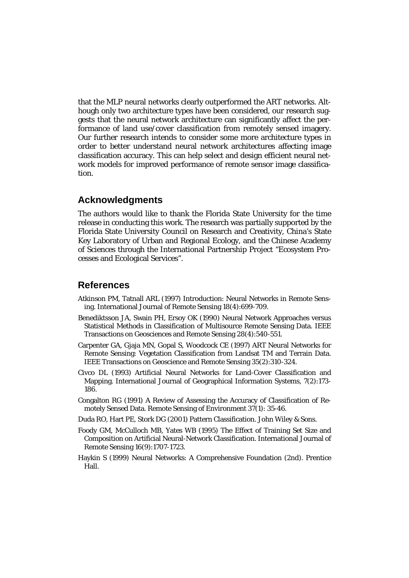that the MLP neural networks clearly outperformed the ART networks. Although only two architecture types have been considered, our research suggests that the neural network architecture can significantly affect the performance of land use/cover classification from remotely sensed imagery. Our further research intends to consider some more architecture types in order to better understand neural network architectures affecting image classification accuracy. This can help select and design efficient neural network models for improved performance of remote sensor image classification.

## **Acknowledgments**

The authors would like to thank the Florida State University for the time release in conducting this work. The research was partially supported by the Florida State University Council on Research and Creativity, China's State Key Laboratory of Urban and Regional Ecology, and the Chinese Academy of Sciences through the International Partnership Project "Ecosystem Processes and Ecological Services".

## **References**

- Atkinson PM, Tatnall ARL (1997) Introduction: Neural Networks in Remote Sensing. International Journal of Remote Sensing 18(4):699-709.
- Benediktsson JA, Swain PH, Ersoy OK (1990) Neural Network Approaches versus Statistical Methods in Classification of Multisource Remote Sensing Data. IEEE Transactions on Geosciences and Remote Sensing 28(4):540-551.
- Carpenter GA, Gjaja MN, Gopal S, Woodcock CE (1997) ART Neural Networks for Remote Sensing: Vegetation Classification from Landsat TM and Terrain Data. IEEE Transactions on Geoscience and Remote Sensing 35(2):310-324.
- Civco DL (1993) Artificial Neural Networks for Land-Cover Classification and Mapping. International Journal of Geographical Information Systems, 7(2):173- 186.
- Congalton RG (1991) A Review of Assessing the Accuracy of Classification of Remotely Sensed Data. Remote Sensing of Environment 37(1): 35-46.
- Duda RO, Hart PE, Stork DG (2001) Pattern Classification. John Wiley & Sons.
- Foody GM, McCulloch MB, Yates WB (1995) The Effect of Training Set Size and Composition on Artificial Neural-Network Classification. International Journal of Remote Sensing 16(9):1707-1723.
- Haykin S (1999) Neural Networks: A Comprehensive Foundation (2nd). Prentice Hall.